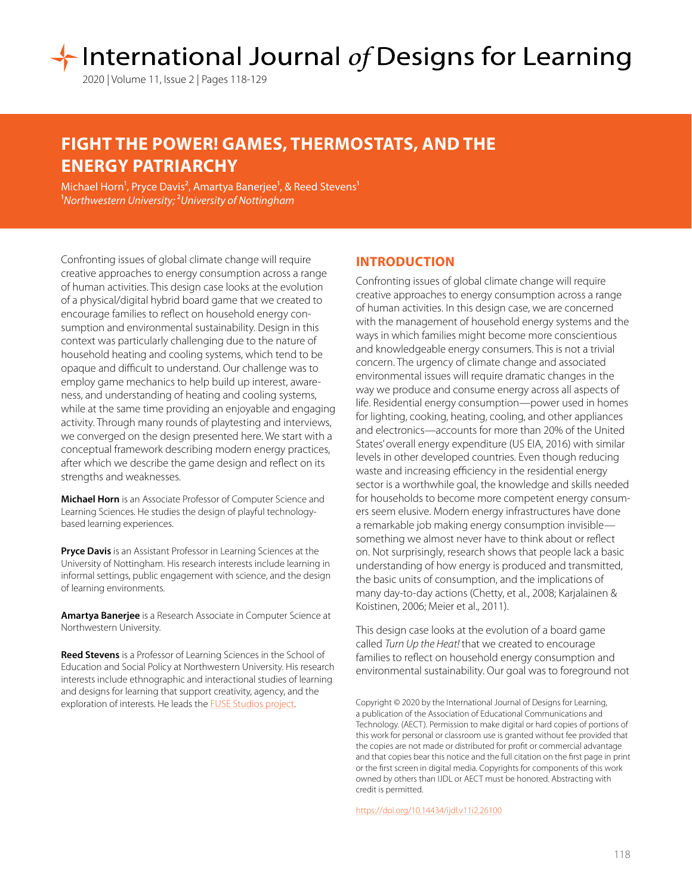# International Journal of Designs for Learning

2020 | Volume 11, Issue 2 | Pages 118-129

# **FIGHT THE POWER! GAMES, THERMOSTATS, AND THE ENERGY PATRIARCHY**

Michael Horn<sup>1</sup>, Pryce Davis<sup>2</sup>, Amartya Banerjee<sup>1</sup>, & Reed Stevens<sup>1</sup> 1*Northwestern University;* 2*University of Nottingham*

Confronting issues of global climate change will require creative approaches to energy consumption across a range of human activities. This design case looks at the evolution of a physical/digital hybrid board game that we created to encourage families to reflect on household energy consumption and environmental sustainability. Design in this context was particularly challenging due to the nature of household heating and cooling systems, which tend to be opaque and difficult to understand. Our challenge was to employ game mechanics to help build up interest, awareness, and understanding of heating and cooling systems, while at the same time providing an enjoyable and engaging activity. Through many rounds of playtesting and interviews, we converged on the design presented here. We start with a conceptual framework describing modern energy practices, after which we describe the game design and reflect on its strengths and weaknesses.

**Michael Horn** is an Associate Professor of Computer Science and Learning Sciences. He studies the design of playful technologybased learning experiences.

**Pryce Davis** is an Assistant Professor in Learning Sciences at the University of Nottingham. His research interests include learning in informal settings, public engagement with science, and the design of learning environments.

**Amartya Banerjee** is a Research Associate in Computer Science at Northwestern University.

**Reed Stevens** is a Professor of Learning Sciences in the School of Education and Social Policy at Northwestern University. His research interests include ethnographic and interactional studies of learning and designs for learning that support creativity, agency, and the exploration of interests. He leads the **FUSE Studios project**.

# **INTRODUCTION**

Confronting issues of global climate change will require creative approaches to energy consumption across a range of human activities. In this design case, we are concerned with the management of household energy systems and the ways in which families might become more conscientious and knowledgeable energy consumers. This is not a trivial concern. The urgency of climate change and associated environmental issues will require dramatic changes in the way we produce and consume energy across all aspects of life. Residential energy consumption—power used in homes for lighting, cooking, heating, cooling, and other appliances and electronics—accounts for more than 20% of the United States' overall energy expenditure (US EIA, 2016) with similar levels in other developed countries. Even though reducing waste and increasing efficiency in the residential energy sector is a worthwhile goal, the knowledge and skills needed for households to become more competent energy consumers seem elusive. Modern energy infrastructures have done a remarkable job making energy consumption invisible something we almost never have to think about or reflect on. Not surprisingly, research shows that people lack a basic understanding of how energy is produced and transmitted, the basic units of consumption, and the implications of many day-to-day actions (Chetty, et al., 2008; Karjalainen & Koistinen, 2006; Meier et al., 2011).

This design case looks at the evolution of a board game called *Turn Up the Heat!* that we created to encourage families to reflect on household energy consumption and environmental sustainability. Our goal was to foreground not

Copyright © 2020 by the International Journal of Designs for Learning, a publication of the Association of Educational Communications and Technology. (AECT). Permission to make digital or hard copies of portions of this work for personal or classroom use is granted without fee provided that the copies are not made or distributed for profit or commercial advantage and that copies bear this notice and the full citation on the first page in print or the first screen in digital media. Copyrights for components of this work owned by others than IJDL or AECT must be honored. Abstracting with credit is permitted.

[https://doi.org/](https://doi.org/10.14434/ijdl.v11i2.26100)10.14434/ijdl.v11i2.26100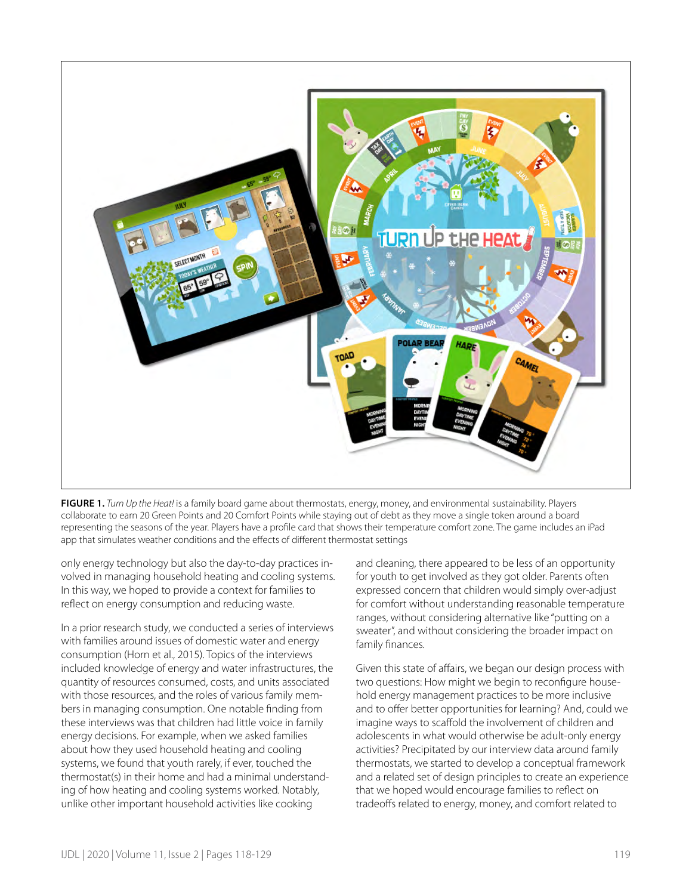

**FIGURE 1.** *Turn Up the Heat!* is a family board game about thermostats, energy, money, and environmental sustainability. Players collaborate to earn 20 Green Points and 20 Comfort Points while staying out of debt as they move a single token around a board representing the seasons of the year. Players have a profile card that shows their temperature comfort zone. The game includes an iPad app that simulates weather conditions and the effects of different thermostat settings

only energy technology but also the day-to-day practices involved in managing household heating and cooling systems. In this way, we hoped to provide a context for families to reflect on energy consumption and reducing waste.

In a prior research study, we conducted a series of interviews with families around issues of domestic water and energy consumption (Horn et al., 2015). Topics of the interviews included knowledge of energy and water infrastructures, the quantity of resources consumed, costs, and units associated with those resources, and the roles of various family members in managing consumption. One notable finding from these interviews was that children had little voice in family energy decisions. For example, when we asked families about how they used household heating and cooling systems, we found that youth rarely, if ever, touched the thermostat(s) in their home and had a minimal understanding of how heating and cooling systems worked. Notably, unlike other important household activities like cooking

and cleaning, there appeared to be less of an opportunity for youth to get involved as they got older. Parents often expressed concern that children would simply over-adjust for comfort without understanding reasonable temperature ranges, without considering alternative like "putting on a sweater", and without considering the broader impact on family finances.

Given this state of affairs, we began our design process with two questions: How might we begin to reconfigure household energy management practices to be more inclusive and to offer better opportunities for learning? And, could we imagine ways to scaffold the involvement of children and adolescents in what would otherwise be adult-only energy activities? Precipitated by our interview data around family thermostats, we started to develop a conceptual framework and a related set of design principles to create an experience that we hoped would encourage families to reflect on tradeoffs related to energy, money, and comfort related to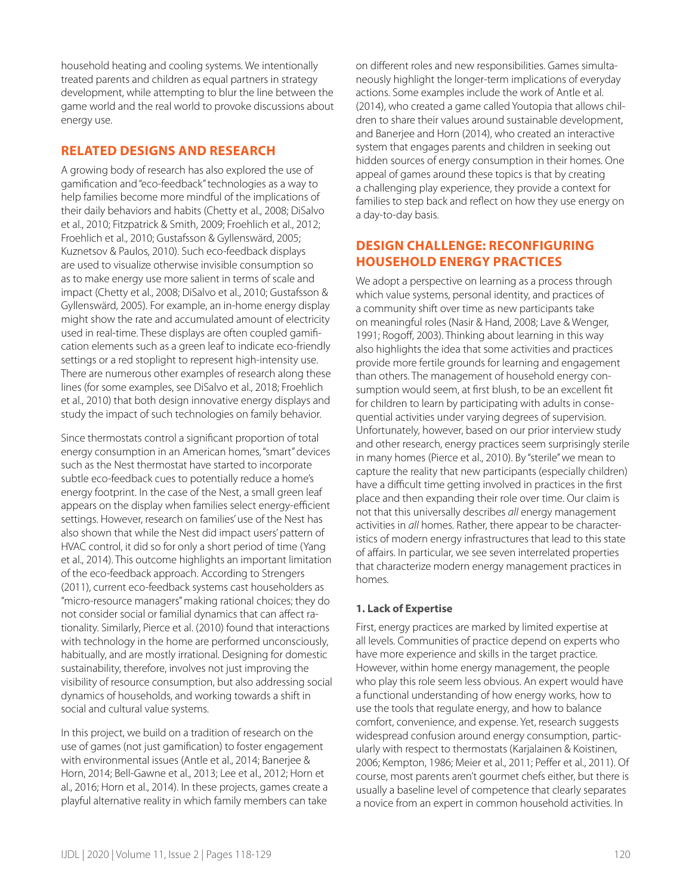household heating and cooling systems. We intentionally treated parents and children as equal partners in strategy development, while attempting to blur the line between the game world and the real world to provoke discussions about energy use.

# **RELATED DESIGNS AND RESEARCH**

A growing body of research has also explored the use of gamification and "eco-feedback" technologies as a way to help families become more mindful of the implications of their daily behaviors and habits (Chetty et al., 2008; DiSalvo et al., 2010; Fitzpatrick & Smith, 2009; Froehlich et al., 2012; Froehlich et al., 2010; Gustafsson & Gyllenswärd, 2005; Kuznetsov & Paulos, 2010). Such eco-feedback displays are used to visualize otherwise invisible consumption so as to make energy use more salient in terms of scale and impact (Chetty et al., 2008; DiSalvo et al., 2010; Gustafsson & Gyllenswärd, 2005). For example, an in-home energy display might show the rate and accumulated amount of electricity used in real-time. These displays are often coupled gamification elements such as a green leaf to indicate eco-friendly settings or a red stoplight to represent high-intensity use. There are numerous other examples of research along these lines (for some examples, see DiSalvo et al., 2018; Froehlich et al., 2010) that both design innovative energy displays and study the impact of such technologies on family behavior.

Since thermostats control a significant proportion of total energy consumption in an American homes, "smart" devices such as the Nest thermostat have started to incorporate subtle eco-feedback cues to potentially reduce a home's energy footprint. In the case of the Nest, a small green leaf appears on the display when families select energy-efficient settings. However, research on families' use of the Nest has also shown that while the Nest did impact users' pattern of HVAC control, it did so for only a short period of time (Yang et al., 2014). This outcome highlights an important limitation of the eco-feedback approach. According to Strengers (2011), current eco-feedback systems cast householders as "micro-resource managers" making rational choices; they do not consider social or familial dynamics that can affect rationality. Similarly, Pierce et al. (2010) found that interactions with technology in the home are performed unconsciously, habitually, and are mostly irrational. Designing for domestic sustainability, therefore, involves not just improving the visibility of resource consumption, but also addressing social dynamics of households, and working towards a shift in social and cultural value systems.

In this project, we build on a tradition of research on the use of games (not just gamification) to foster engagement with environmental issues (Antle et al., 2014; Banerjee & Horn, 2014; Bell-Gawne et al., 2013; Lee et al., 2012; Horn et al., 2016; Horn et al., 2014). In these projects, games create a playful alternative reality in which family members can take on different roles and new responsibilities. Games simultaneously highlight the longer-term implications of everyday actions. Some examples include the work of Antle et al. (2014), who created a game called Youtopia that allows children to share their values around sustainable development, and Banerjee and Horn (2014), who created an interactive system that engages parents and children in seeking out hidden sources of energy consumption in their homes. One appeal of games around these topics is that by creating a challenging play experience, they provide a context for families to step back and reflect on how they use energy on a day-to-day basis.

# **DESIGN CHALLENGE: RECONFIGURING HOUSEHOLD ENERGY PRACTICES**

We adopt a perspective on learning as a process through which value systems, personal identity, and practices of a community shift over time as new participants take on meaningful roles (Nasir & Hand, 2008; Lave & Wenger, 1991; Rogoff, 2003). Thinking about learning in this way also highlights the idea that some activities and practices provide more fertile grounds for learning and engagement than others. The management of household energy consumption would seem, at first blush, to be an excellent fit for children to learn by participating with adults in consequential activities under varying degrees of supervision. Unfortunately, however, based on our prior interview study and other research, energy practices seem surprisingly sterile in many homes (Pierce et al., 2010). By "sterile" we mean to capture the reality that new participants (especially children) have a difficult time getting involved in practices in the first place and then expanding their role over time. Our claim is not that this universally describes *all* energy management activities in *all* homes. Rather, there appear to be characteristics of modern energy infrastructures that lead to this state of affairs. In particular, we see seven interrelated properties that characterize modern energy management practices in homes.

# **1. Lack of Expertise**

First, energy practices are marked by limited expertise at all levels. Communities of practice depend on experts who have more experience and skills in the target practice. However, within home energy management, the people who play this role seem less obvious. An expert would have a functional understanding of how energy works, how to use the tools that regulate energy, and how to balance comfort, convenience, and expense. Yet, research suggests widespread confusion around energy consumption, particularly with respect to thermostats (Karjalainen & Koistinen, 2006; Kempton, 1986; Meier et al., 2011; Peffer et al., 2011). Of course, most parents aren't gourmet chefs either, but there is usually a baseline level of competence that clearly separates a novice from an expert in common household activities. In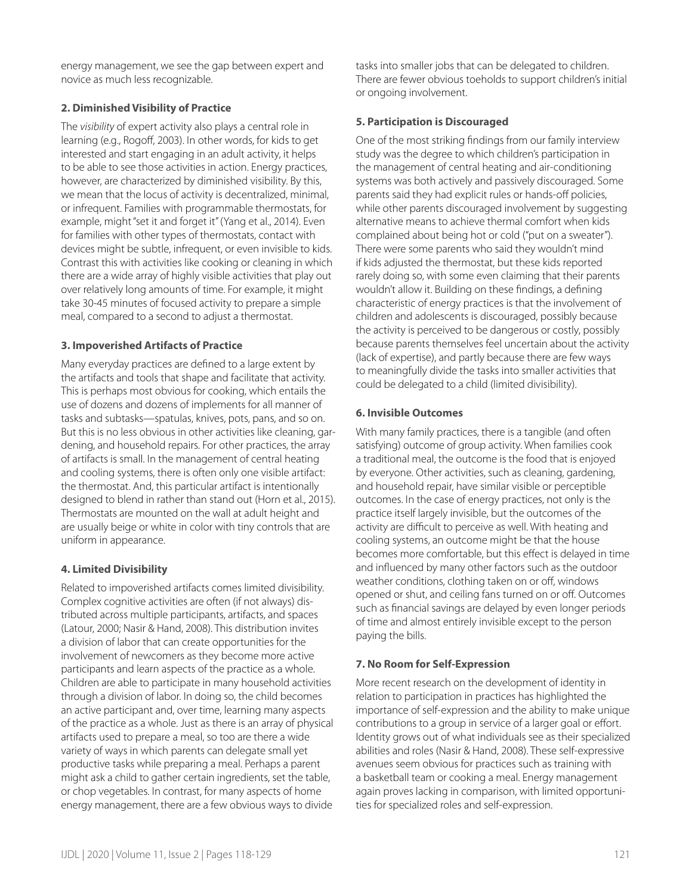energy management, we see the gap between expert and novice as much less recognizable.

#### **2. Diminished Visibility of Practice**

The *visibility* of expert activity also plays a central role in learning (e.g., Rogoff, 2003). In other words, for kids to get interested and start engaging in an adult activity, it helps to be able to see those activities in action. Energy practices, however, are characterized by diminished visibility. By this, we mean that the locus of activity is decentralized, minimal, or infrequent. Families with programmable thermostats, for example, might "set it and forget it" (Yang et al., 2014). Even for families with other types of thermostats, contact with devices might be subtle, infrequent, or even invisible to kids. Contrast this with activities like cooking or cleaning in which there are a wide array of highly visible activities that play out over relatively long amounts of time. For example, it might take 30-45 minutes of focused activity to prepare a simple meal, compared to a second to adjust a thermostat.

#### **3. Impoverished Artifacts of Practice**

Many everyday practices are defined to a large extent by the artifacts and tools that shape and facilitate that activity. This is perhaps most obvious for cooking, which entails the use of dozens and dozens of implements for all manner of tasks and subtasks—spatulas, knives, pots, pans, and so on. But this is no less obvious in other activities like cleaning, gardening, and household repairs. For other practices, the array of artifacts is small. In the management of central heating and cooling systems, there is often only one visible artifact: the thermostat. And, this particular artifact is intentionally designed to blend in rather than stand out (Horn et al., 2015). Thermostats are mounted on the wall at adult height and are usually beige or white in color with tiny controls that are uniform in appearance.

# **4. Limited Divisibility**

Related to impoverished artifacts comes limited divisibility. Complex cognitive activities are often (if not always) distributed across multiple participants, artifacts, and spaces (Latour, 2000; Nasir & Hand, 2008). This distribution invites a division of labor that can create opportunities for the involvement of newcomers as they become more active participants and learn aspects of the practice as a whole. Children are able to participate in many household activities through a division of labor. In doing so, the child becomes an active participant and, over time, learning many aspects of the practice as a whole. Just as there is an array of physical artifacts used to prepare a meal, so too are there a wide variety of ways in which parents can delegate small yet productive tasks while preparing a meal. Perhaps a parent might ask a child to gather certain ingredients, set the table, or chop vegetables. In contrast, for many aspects of home energy management, there are a few obvious ways to divide

tasks into smaller jobs that can be delegated to children. There are fewer obvious toeholds to support children's initial or ongoing involvement.

# **5. Participation is Discouraged**

One of the most striking findings from our family interview study was the degree to which children's participation in the management of central heating and air-conditioning systems was both actively and passively discouraged. Some parents said they had explicit rules or hands-off policies, while other parents discouraged involvement by suggesting alternative means to achieve thermal comfort when kids complained about being hot or cold ("put on a sweater"). There were some parents who said they wouldn't mind if kids adjusted the thermostat, but these kids reported rarely doing so, with some even claiming that their parents wouldn't allow it. Building on these findings, a defining characteristic of energy practices is that the involvement of children and adolescents is discouraged, possibly because the activity is perceived to be dangerous or costly, possibly because parents themselves feel uncertain about the activity (lack of expertise), and partly because there are few ways to meaningfully divide the tasks into smaller activities that could be delegated to a child (limited divisibility).

#### **6. Invisible Outcomes**

With many family practices, there is a tangible (and often satisfying) outcome of group activity. When families cook a traditional meal, the outcome is the food that is enjoyed by everyone. Other activities, such as cleaning, gardening, and household repair, have similar visible or perceptible outcomes. In the case of energy practices, not only is the practice itself largely invisible, but the outcomes of the activity are difficult to perceive as well. With heating and cooling systems, an outcome might be that the house becomes more comfortable, but this effect is delayed in time and influenced by many other factors such as the outdoor weather conditions, clothing taken on or off, windows opened or shut, and ceiling fans turned on or off. Outcomes such as financial savings are delayed by even longer periods of time and almost entirely invisible except to the person paying the bills.

#### **7. No Room for Self-Expression**

More recent research on the development of identity in relation to participation in practices has highlighted the importance of self-expression and the ability to make unique contributions to a group in service of a larger goal or effort. Identity grows out of what individuals see as their specialized abilities and roles (Nasir & Hand, 2008). These self-expressive avenues seem obvious for practices such as training with a basketball team or cooking a meal. Energy management again proves lacking in comparison, with limited opportunities for specialized roles and self-expression.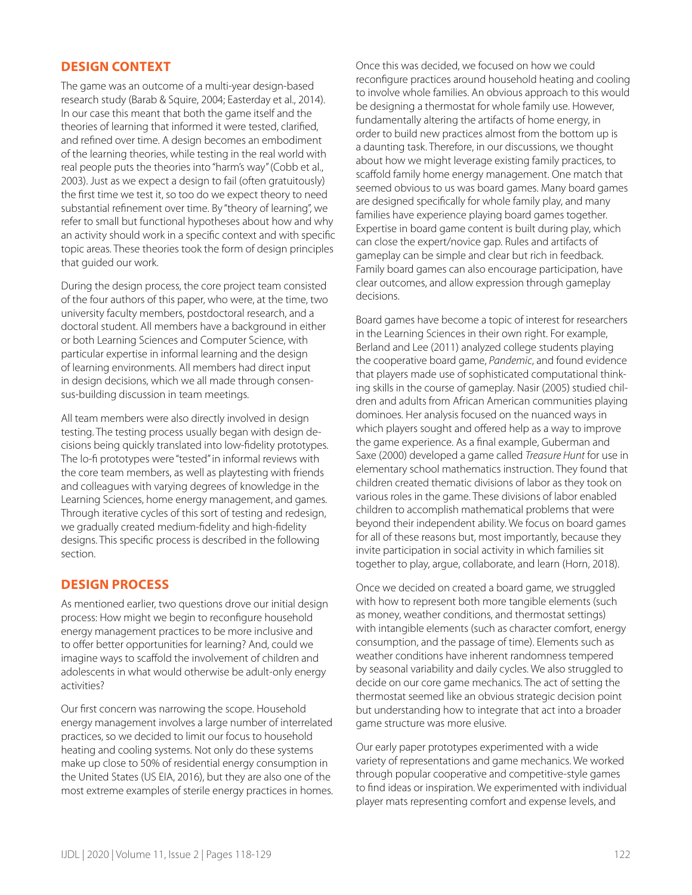# **DESIGN CONTEXT**

The game was an outcome of a multi-year design-based research study (Barab & Squire, 2004; Easterday et al., 2014). In our case this meant that both the game itself and the theories of learning that informed it were tested, clarified, and refined over time. A design becomes an embodiment of the learning theories, while testing in the real world with real people puts the theories into "harm's way" (Cobb et al., 2003). Just as we expect a design to fail (often gratuitously) the first time we test it, so too do we expect theory to need substantial refinement over time. By "theory of learning", we refer to small but functional hypotheses about how and why an activity should work in a specific context and with specific topic areas. These theories took the form of design principles that guided our work.

During the design process, the core project team consisted of the four authors of this paper, who were, at the time, two university faculty members, postdoctoral research, and a doctoral student. All members have a background in either or both Learning Sciences and Computer Science, with particular expertise in informal learning and the design of learning environments. All members had direct input in design decisions, which we all made through consensus-building discussion in team meetings.

All team members were also directly involved in design testing. The testing process usually began with design decisions being quickly translated into low-fidelity prototypes. The lo-fi prototypes were "tested" in informal reviews with the core team members, as well as playtesting with friends and colleagues with varying degrees of knowledge in the Learning Sciences, home energy management, and games. Through iterative cycles of this sort of testing and redesign, we gradually created medium-fidelity and high-fidelity designs. This specific process is described in the following section.

# **DESIGN PROCESS**

As mentioned earlier, two questions drove our initial design process: How might we begin to reconfigure household energy management practices to be more inclusive and to offer better opportunities for learning? And, could we imagine ways to scaffold the involvement of children and adolescents in what would otherwise be adult-only energy activities?

Our first concern was narrowing the scope. Household energy management involves a large number of interrelated practices, so we decided to limit our focus to household heating and cooling systems. Not only do these systems make up close to 50% of residential energy consumption in the United States (US EIA, 2016), but they are also one of the most extreme examples of sterile energy practices in homes.

Once this was decided, we focused on how we could reconfigure practices around household heating and cooling to involve whole families. An obvious approach to this would be designing a thermostat for whole family use. However, fundamentally altering the artifacts of home energy, in order to build new practices almost from the bottom up is a daunting task. Therefore, in our discussions, we thought about how we might leverage existing family practices, to scaffold family home energy management. One match that seemed obvious to us was board games. Many board games are designed specifically for whole family play, and many families have experience playing board games together. Expertise in board game content is built during play, which can close the expert/novice gap. Rules and artifacts of gameplay can be simple and clear but rich in feedback. Family board games can also encourage participation, have clear outcomes, and allow expression through gameplay decisions.

Board games have become a topic of interest for researchers in the Learning Sciences in their own right. For example, Berland and Lee (2011) analyzed college students playing the cooperative board game, *Pandemic*, and found evidence that players made use of sophisticated computational thinking skills in the course of gameplay. Nasir (2005) studied children and adults from African American communities playing dominoes. Her analysis focused on the nuanced ways in which players sought and offered help as a way to improve the game experience. As a final example, Guberman and Saxe (2000) developed a game called *Treasure Hunt* for use in elementary school mathematics instruction. They found that children created thematic divisions of labor as they took on various roles in the game. These divisions of labor enabled children to accomplish mathematical problems that were beyond their independent ability. We focus on board games for all of these reasons but, most importantly, because they invite participation in social activity in which families sit together to play, argue, collaborate, and learn (Horn, 2018).

Once we decided on created a board game, we struggled with how to represent both more tangible elements (such as money, weather conditions, and thermostat settings) with intangible elements (such as character comfort, energy consumption, and the passage of time). Elements such as weather conditions have inherent randomness tempered by seasonal variability and daily cycles. We also struggled to decide on our core game mechanics. The act of setting the thermostat seemed like an obvious strategic decision point but understanding how to integrate that act into a broader game structure was more elusive.

Our early paper prototypes experimented with a wide variety of representations and game mechanics. We worked through popular cooperative and competitive-style games to find ideas or inspiration. We experimented with individual player mats representing comfort and expense levels, and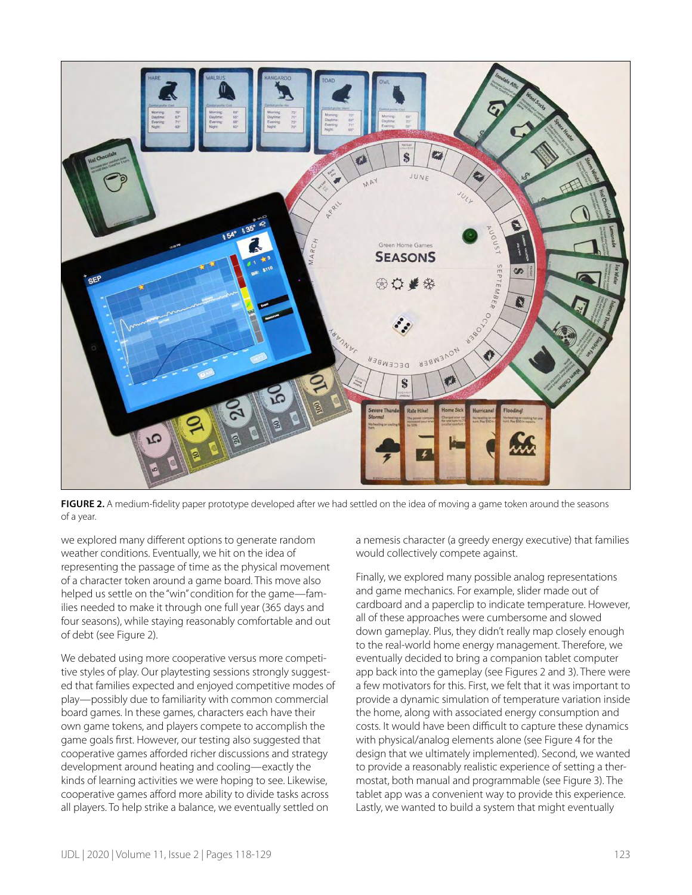

**FIGURE 2.** A medium-fidelity paper prototype developed after we had settled on the idea of moving a game token around the seasons of a year.

we explored many different options to generate random weather conditions. Eventually, we hit on the idea of representing the passage of time as the physical movement of a character token around a game board. This move also helped us settle on the "win" condition for the game—families needed to make it through one full year (365 days and four seasons), while staying reasonably comfortable and out of debt (see Figure 2).

We debated using more cooperative versus more competitive styles of play. Our playtesting sessions strongly suggested that families expected and enjoyed competitive modes of play—possibly due to familiarity with common commercial board games. In these games, characters each have their own game tokens, and players compete to accomplish the game goals first. However, our testing also suggested that cooperative games afforded richer discussions and strategy development around heating and cooling—exactly the kinds of learning activities we were hoping to see. Likewise, cooperative games afford more ability to divide tasks across all players. To help strike a balance, we eventually settled on

a nemesis character (a greedy energy executive) that families would collectively compete against.

Finally, we explored many possible analog representations and game mechanics. For example, slider made out of cardboard and a paperclip to indicate temperature. However, all of these approaches were cumbersome and slowed down gameplay. Plus, they didn't really map closely enough to the real-world home energy management. Therefore, we eventually decided to bring a companion tablet computer app back into the gameplay (see Figures 2 and 3). There were a few motivators for this. First, we felt that it was important to provide a dynamic simulation of temperature variation inside the home, along with associated energy consumption and costs. It would have been difficult to capture these dynamics with physical/analog elements alone (see Figure 4 for the design that we ultimately implemented). Second, we wanted to provide a reasonably realistic experience of setting a thermostat, both manual and programmable (see Figure 3). The tablet app was a convenient way to provide this experience. Lastly, we wanted to build a system that might eventually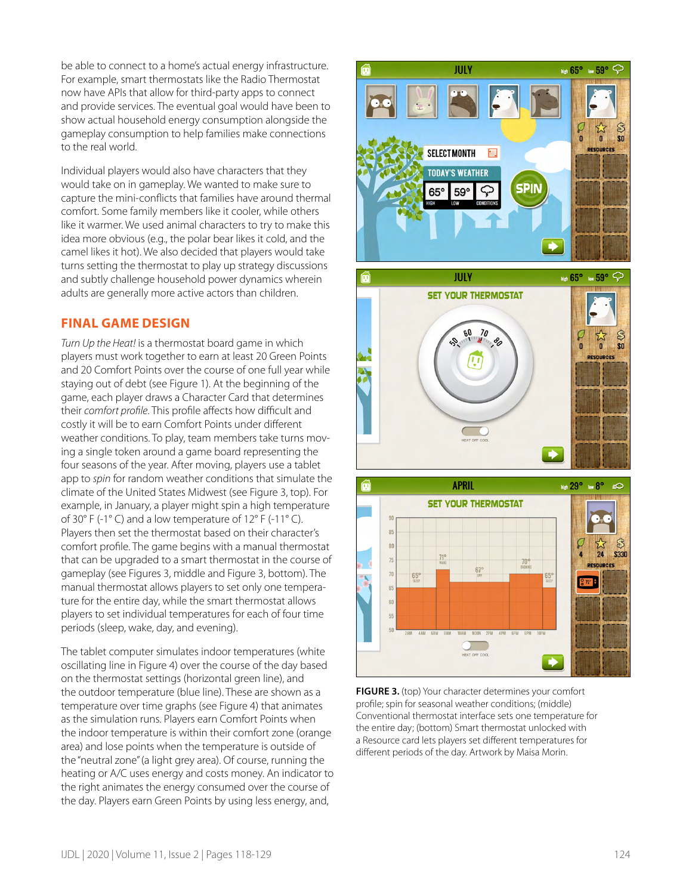be able to connect to a home's actual energy infrastructure. For example, smart thermostats like the Radio Thermostat now have APIs that allow for third-party apps to connect and provide services. The eventual goal would have been to show actual household energy consumption alongside the gameplay consumption to help families make connections to the real world.

Individual players would also have characters that they would take on in gameplay. We wanted to make sure to capture the mini-conflicts that families have around thermal comfort. Some family members like it cooler, while others like it warmer. We used animal characters to try to make this idea more obvious (e.g., the polar bear likes it cold, and the camel likes it hot). We also decided that players would take turns setting the thermostat to play up strategy discussions and subtly challenge household power dynamics wherein adults are generally more active actors than children.

# **FINAL GAME DESIGN**

*Turn Up the Heat!* is a thermostat board game in which players must work together to earn at least 20 Green Points and 20 Comfort Points over the course of one full year while staying out of debt (see Figure 1). At the beginning of the game, each player draws a Character Card that determines their *comfort profile*. This profile affects how difficult and costly it will be to earn Comfort Points under different weather conditions. To play, team members take turns moving a single token around a game board representing the four seasons of the year. After moving, players use a tablet app to *spin* for random weather conditions that simulate the climate of the United States Midwest (see Figure 3, top). For example, in January, a player might spin a high temperature of 30° F (-1° C) and a low temperature of 12° F (-11° C). Players then set the thermostat based on their character's comfort profile. The game begins with a manual thermostat that can be upgraded to a smart thermostat in the course of gameplay (see Figures 3, middle and Figure 3, bottom). The manual thermostat allows players to set only one temperature for the entire day, while the smart thermostat allows players to set individual temperatures for each of four time periods (sleep, wake, day, and evening).

The tablet computer simulates indoor temperatures (white oscillating line in Figure 4) over the course of the day based on the thermostat settings (horizontal green line), and the outdoor temperature (blue line). These are shown as a temperature over time graphs (see Figure 4) that animates as the simulation runs. Players earn Comfort Points when the indoor temperature is within their comfort zone (orange area) and lose points when the temperature is outside of the "neutral zone" (a light grey area). Of course, running the heating or A/C uses energy and costs money. An indicator to the right animates the energy consumed over the course of the day. Players earn Green Points by using less energy, and,



**FIGURE 3.** (top) Your character determines your comfort profile; spin for seasonal weather conditions; (middle) Conventional thermostat interface sets one temperature for the entire day; (bottom) Smart thermostat unlocked with a Resource card lets players set different temperatures for different periods of the day. Artwork by Maisa Morin.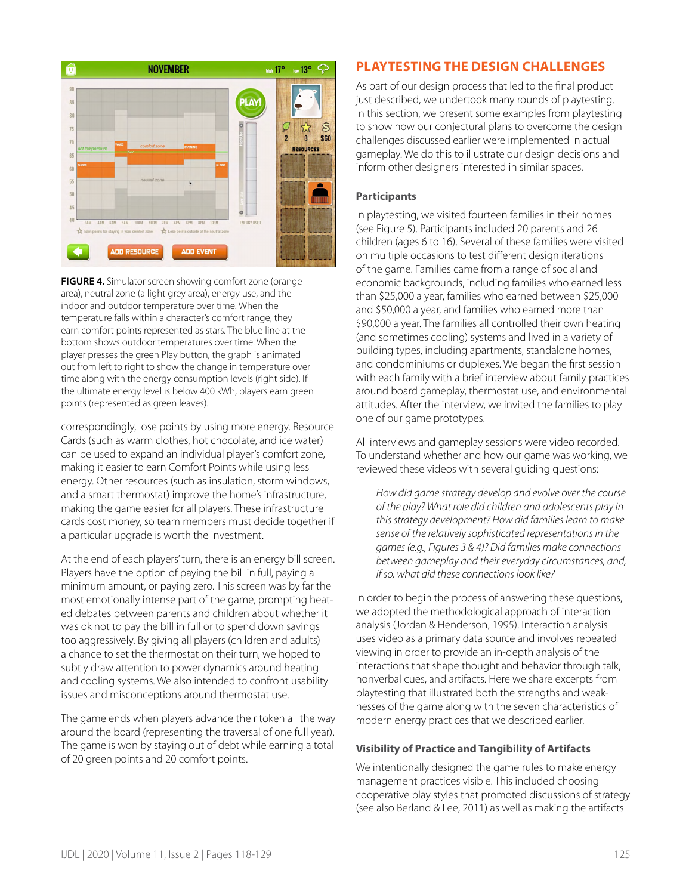

**FIGURE 4.** Simulator screen showing comfort zone (orange area), neutral zone (a light grey area), energy use, and the indoor and outdoor temperature over time. When the temperature falls within a character's comfort range, they earn comfort points represented as stars. The blue line at the bottom shows outdoor temperatures over time. When the player presses the green Play button, the graph is animated out from left to right to show the change in temperature over time along with the energy consumption levels (right side). If the ultimate energy level is below 400 kWh, players earn green points (represented as green leaves).

correspondingly, lose points by using more energy. Resource Cards (such as warm clothes, hot chocolate, and ice water) can be used to expand an individual player's comfort zone, making it easier to earn Comfort Points while using less energy. Other resources (such as insulation, storm windows, and a smart thermostat) improve the home's infrastructure, making the game easier for all players. These infrastructure cards cost money, so team members must decide together if a particular upgrade is worth the investment.

At the end of each players' turn, there is an energy bill screen. Players have the option of paying the bill in full, paying a minimum amount, or paying zero. This screen was by far the most emotionally intense part of the game, prompting heated debates between parents and children about whether it was ok not to pay the bill in full or to spend down savings too aggressively. By giving all players (children and adults) a chance to set the thermostat on their turn, we hoped to subtly draw attention to power dynamics around heating and cooling systems. We also intended to confront usability issues and misconceptions around thermostat use.

The game ends when players advance their token all the way around the board (representing the traversal of one full year). The game is won by staying out of debt while earning a total of 20 green points and 20 comfort points.

# **PLAYTESTING THE DESIGN CHALLENGES**

As part of our design process that led to the final product just described, we undertook many rounds of playtesting. In this section, we present some examples from playtesting to show how our conjectural plans to overcome the design challenges discussed earlier were implemented in actual gameplay. We do this to illustrate our design decisions and inform other designers interested in similar spaces.

#### **Participants**

In playtesting, we visited fourteen families in their homes (see Figure 5). Participants included 20 parents and 26 children (ages 6 to 16). Several of these families were visited on multiple occasions to test different design iterations of the game. Families came from a range of social and economic backgrounds, including families who earned less than \$25,000 a year, families who earned between \$25,000 and \$50,000 a year, and families who earned more than \$90,000 a year. The families all controlled their own heating (and sometimes cooling) systems and lived in a variety of building types, including apartments, standalone homes, and condominiums or duplexes. We began the first session with each family with a brief interview about family practices around board gameplay, thermostat use, and environmental attitudes. After the interview, we invited the families to play one of our game prototypes.

All interviews and gameplay sessions were video recorded. To understand whether and how our game was working, we reviewed these videos with several guiding questions:

*How did game strategy develop and evolve over the course of the play? What role did children and adolescents play in this strategy development? How did families learn to make sense of the relatively sophisticated representations in the games (e.g., Figures 3 & 4)? Did families make connections between gameplay and their everyday circumstances, and, if so, what did these connections look like?* 

In order to begin the process of answering these questions, we adopted the methodological approach of interaction analysis (Jordan & Henderson, 1995). Interaction analysis uses video as a primary data source and involves repeated viewing in order to provide an in-depth analysis of the interactions that shape thought and behavior through talk, nonverbal cues, and artifacts. Here we share excerpts from playtesting that illustrated both the strengths and weaknesses of the game along with the seven characteristics of modern energy practices that we described earlier.

#### **Visibility of Practice and Tangibility of Artifacts**

We intentionally designed the game rules to make energy management practices visible. This included choosing cooperative play styles that promoted discussions of strategy (see also Berland & Lee, 2011) as well as making the artifacts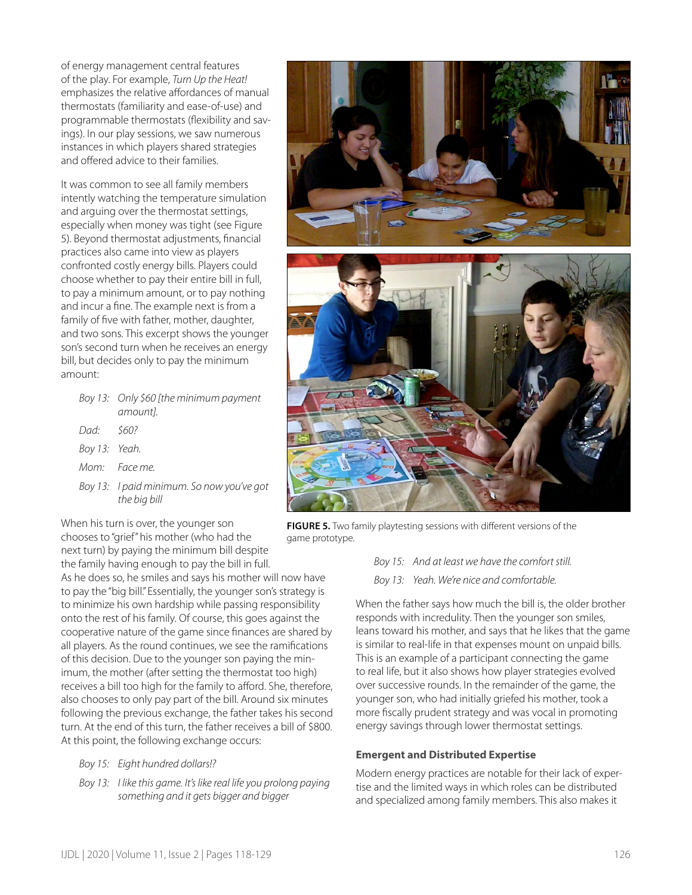of energy management central features of the play. For example, *Turn Up the Heat!* emphasizes the relative affordances of manual thermostats (familiarity and ease-of-use) and programmable thermostats (flexibility and savings). In our play sessions, we saw numerous instances in which players shared strategies and offered advice to their families.

It was common to see all family members intently watching the temperature simulation and arguing over the thermostat settings, especially when money was tight (see Figure 5). Beyond thermostat adjustments, financial practices also came into view as players confronted costly energy bills. Players could choose whether to pay their entire bill in full, to pay a minimum amount, or to pay nothing and incur a fine. The example next is from a family of five with father, mother, daughter, and two sons. This excerpt shows the younger son's second turn when he receives an energy bill, but decides only to pay the minimum amount:

|               | Boy 13: Only \$60 [the minimum payment<br>amount].        |
|---------------|-----------------------------------------------------------|
| Dad: \$60?    |                                                           |
| Boy 13: Yeah. |                                                           |
|               | Mom: Face me                                              |
|               | Boy 13: I paid minimum. So now you've got<br>the bia bill |

When his turn is over, the younger son chooses to "grief" his mother (who had the next turn) by paying the minimum bill despite the family having enough to pay the bill in full.

As he does so, he smiles and says his mother will now have to pay the "big bill." Essentially, the younger son's strategy is to minimize his own hardship while passing responsibility onto the rest of his family. Of course, this goes against the cooperative nature of the game since finances are shared by all players. As the round continues, we see the ramifications of this decision. Due to the younger son paying the minimum, the mother (after setting the thermostat too high) receives a bill too high for the family to afford. She, therefore, also chooses to only pay part of the bill. Around six minutes following the previous exchange, the father takes his second turn. At the end of this turn, the father receives a bill of \$800. At this point, the following exchange occurs:

- *Boy 15: Eight hundred dollars!?*
- *Boy 13: I like this game. It's like real life you prolong paying something and it gets bigger and bigger*



**FIGURE 5.** Two family playtesting sessions with different versions of the game prototype.

*Boy 15: And at least we have the comfort still. Boy 13: Yeah. We're nice and comfortable.*

When the father says how much the bill is, the older brother responds with incredulity. Then the younger son smiles, leans toward his mother, and says that he likes that the game is similar to real-life in that expenses mount on unpaid bills. This is an example of a participant connecting the game to real life, but it also shows how player strategies evolved over successive rounds. In the remainder of the game, the younger son, who had initially griefed his mother, took a more fiscally prudent strategy and was vocal in promoting energy savings through lower thermostat settings.

#### **Emergent and Distributed Expertise**

Modern energy practices are notable for their lack of expertise and the limited ways in which roles can be distributed and specialized among family members. This also makes it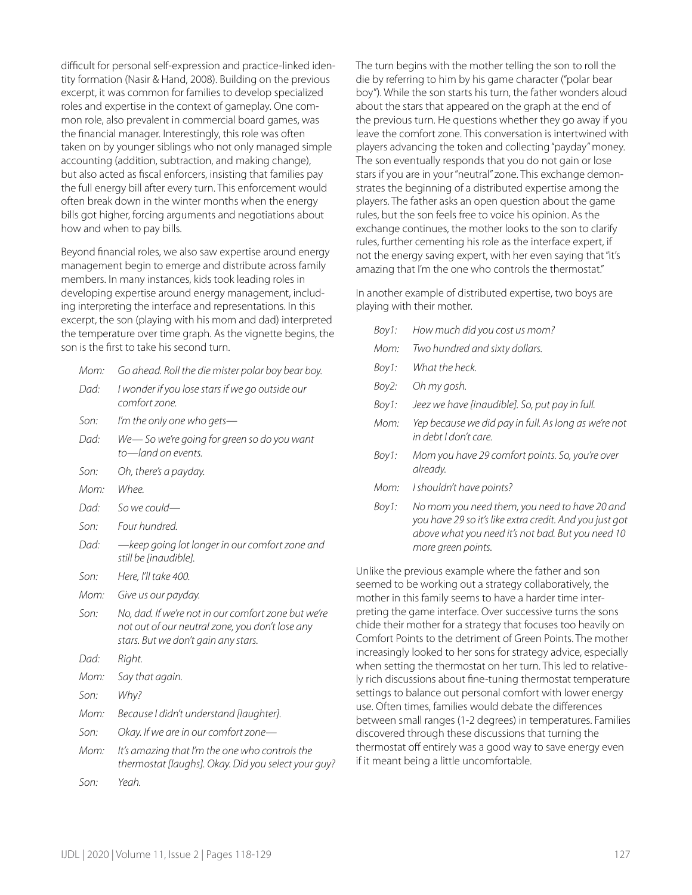difficult for personal self-expression and practice-linked identity formation (Nasir & Hand, 2008). Building on the previous excerpt, it was common for families to develop specialized roles and expertise in the context of gameplay. One common role, also prevalent in commercial board games, was the financial manager. Interestingly, this role was often taken on by younger siblings who not only managed simple accounting (addition, subtraction, and making change), but also acted as fiscal enforcers, insisting that families pay the full energy bill after every turn. This enforcement would often break down in the winter months when the energy bills got higher, forcing arguments and negotiations about how and when to pay bills.

Beyond financial roles, we also saw expertise around energy management begin to emerge and distribute across family members. In many instances, kids took leading roles in developing expertise around energy management, including interpreting the interface and representations. In this excerpt, the son (playing with his mom and dad) interpreted the temperature over time graph. As the vignette begins, the son is the first to take his second turn.

| Mom: |  |  |  | Go ahead. Roll the die mister polar boy bear boy. |
|------|--|--|--|---------------------------------------------------|
|------|--|--|--|---------------------------------------------------|

| Dad: I wonder if you lose stars if we go outside our |
|------------------------------------------------------|
| comfort zone.                                        |

- *Son: I'm the only one who gets—*
- *Dad: We— So we're going for green so do you want to—land on events.*
- *Son: Oh, there's a payday.*
- *Mom: Whee.*
- *Dad: So we could—*
- *Son: Four hundred.*
- *Dad: —keep going lot longer in our comfort zone and still be [inaudible].*
- *Son: Here, I'll take 400.*
- *Mom: Give us our payday.*
- *Son: No, dad. If we're not in our comfort zone but we're not out of our neutral zone, you don't lose any stars. But we don't gain any stars.*
- *Dad: Right.*
- *Mom: Say that again.*
- *Son: Why?*
- *Mom: Because I didn't understand [laughter].*
- *Son: Okay. If we are in our comfort zone—*
- *Mom: It's amazing that I'm the one who controls the thermostat [laughs]. Okay. Did you select your guy?*
- *Son: Yeah.*

The turn begins with the mother telling the son to roll the die by referring to him by his game character ("polar bear boy"). While the son starts his turn, the father wonders aloud about the stars that appeared on the graph at the end of the previous turn. He questions whether they go away if you leave the comfort zone. This conversation is intertwined with players advancing the token and collecting "payday" money. The son eventually responds that you do not gain or lose stars if you are in your "neutral" zone. This exchange demonstrates the beginning of a distributed expertise among the players. The father asks an open question about the game rules, but the son feels free to voice his opinion. As the exchange continues, the mother looks to the son to clarify rules, further cementing his role as the interface expert, if not the energy saving expert, with her even saying that "it's amazing that I'm the one who controls the thermostat."

In another example of distributed expertise, two boys are playing with their mother.

| Boy1: | How much did you cost us mom?                                                                                                                                                       |
|-------|-------------------------------------------------------------------------------------------------------------------------------------------------------------------------------------|
| Mom:  | Two hundred and sixty dollars.                                                                                                                                                      |
| Boy1: | What the heck.                                                                                                                                                                      |
| Boy2: | Oh my gosh.                                                                                                                                                                         |
| Boy1: | Jeez we have [inaudible]. So, put pay in full.                                                                                                                                      |
| Mom:  | Yep because we did pay in full. As long as we're not<br>in debt I don't care                                                                                                        |
| Boy1: | Mom you have 29 comfort points. So, you're over<br>already.                                                                                                                         |
| Mom:  | I shouldn't have points?                                                                                                                                                            |
| Boy1: | No mom you need them, you need to have 20 and<br>you have 29 so it's like extra credit. And you just got<br>above what you need it's not bad. But you need 10<br>more green points. |
|       |                                                                                                                                                                                     |

Unlike the previous example where the father and son seemed to be working out a strategy collaboratively, the mother in this family seems to have a harder time interpreting the game interface. Over successive turns the sons chide their mother for a strategy that focuses too heavily on Comfort Points to the detriment of Green Points. The mother increasingly looked to her sons for strategy advice, especially when setting the thermostat on her turn. This led to relatively rich discussions about fine-tuning thermostat temperature settings to balance out personal comfort with lower energy use. Often times, families would debate the differences between small ranges (1-2 degrees) in temperatures. Families discovered through these discussions that turning the thermostat off entirely was a good way to save energy even if it meant being a little uncomfortable.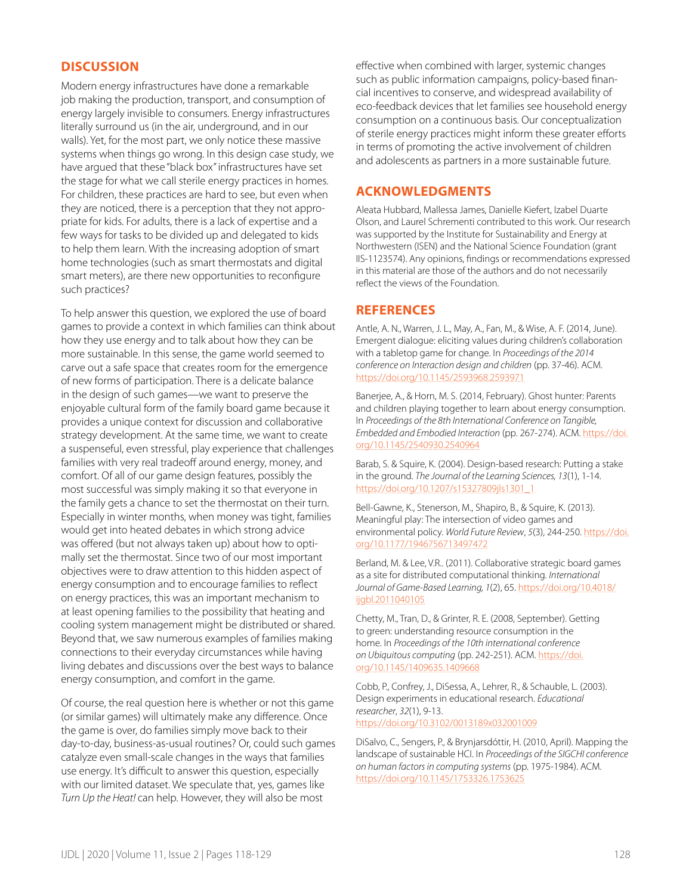# **DISCUSSION**

Modern energy infrastructures have done a remarkable job making the production, transport, and consumption of energy largely invisible to consumers. Energy infrastructures literally surround us (in the air, underground, and in our walls). Yet, for the most part, we only notice these massive systems when things go wrong. In this design case study, we have argued that these "black box" infrastructures have set the stage for what we call sterile energy practices in homes. For children, these practices are hard to see, but even when they are noticed, there is a perception that they not appropriate for kids. For adults, there is a lack of expertise and a few ways for tasks to be divided up and delegated to kids to help them learn. With the increasing adoption of smart home technologies (such as smart thermostats and digital smart meters), are there new opportunities to reconfigure such practices?

To help answer this question, we explored the use of board games to provide a context in which families can think about how they use energy and to talk about how they can be more sustainable. In this sense, the game world seemed to carve out a safe space that creates room for the emergence of new forms of participation. There is a delicate balance in the design of such games—we want to preserve the enjoyable cultural form of the family board game because it provides a unique context for discussion and collaborative strategy development. At the same time, we want to create a suspenseful, even stressful, play experience that challenges families with very real tradeoff around energy, money, and comfort. Of all of our game design features, possibly the most successful was simply making it so that everyone in the family gets a chance to set the thermostat on their turn. Especially in winter months, when money was tight, families would get into heated debates in which strong advice was offered (but not always taken up) about how to optimally set the thermostat. Since two of our most important objectives were to draw attention to this hidden aspect of energy consumption and to encourage families to reflect on energy practices, this was an important mechanism to at least opening families to the possibility that heating and cooling system management might be distributed or shared. Beyond that, we saw numerous examples of families making connections to their everyday circumstances while having living debates and discussions over the best ways to balance energy consumption, and comfort in the game.

Of course, the real question here is whether or not this game (or similar games) will ultimately make any difference. Once the game is over, do families simply move back to their day-to-day, business-as-usual routines? Or, could such games catalyze even small-scale changes in the ways that families use energy. It's difficult to answer this question, especially with our limited dataset. We speculate that, yes, games like *Turn Up the Heat!* can help. However, they will also be most

effective when combined with larger, systemic changes such as public information campaigns, policy-based financial incentives to conserve, and widespread availability of eco-feedback devices that let families see household energy consumption on a continuous basis. Our conceptualization of sterile energy practices might inform these greater efforts in terms of promoting the active involvement of children and adolescents as partners in a more sustainable future.

#### **ACKNOWLEDGMENTS**

Aleata Hubbard, Mallessa James, Danielle Kiefert, Izabel Duarte Olson, and Laurel Schrementi contributed to this work. Our research was supported by the Institute for Sustainability and Energy at Northwestern (ISEN) and the National Science Foundation (grant IIS-1123574). Any opinions, findings or recommendations expressed in this material are those of the authors and do not necessarily reflect the views of the Foundation.

#### **REFERENCES**

Antle, A. N., Warren, J. L., May, A., Fan, M., & Wise, A. F. (2014, June). Emergent dialogue: eliciting values during children's collaboration with a tabletop game for change. In *Proceedings of the 2014 conference on Interaction design and children* (pp. 37-46). ACM. <https://doi.org/10.1145/2593968.2593971>

Banerjee, A., & Horn, M. S. (2014, February). Ghost hunter: Parents and children playing together to learn about energy consumption. In *Proceedings of the 8th International Conference on Tangible, Embedded and Embodied Interaction* (pp. 267-274). ACM. [https://doi.](https://doi.org/10.1145/2540930.2540964) [org/10.1145/2540930.2540964](https://doi.org/10.1145/2540930.2540964)

Barab, S. & Squire, K. (2004). Design-based research: Putting a stake in the ground. *The Journal of the Learning Sciences, 13*(1), 1-14. [https://doi.org/10.1207/s15327809jls1301\\_1](https://doi.org/10.1207/s15327809jls1301_1)

Bell-Gawne, K., Stenerson, M., Shapiro, B., & Squire, K. (2013). Meaningful play: The intersection of video games and environmental policy. *World Future Review*, *5*(3), 244-250. [https://doi.](https://doi.org/10.1177/1946756713497472) [org/10.1177/1946756713497472](https://doi.org/10.1177/1946756713497472)

Berland, M. & Lee, V.R.. (2011). Collaborative strategic board games as a site for distributed computational thinking. *International Journal of Game-Based Learning, 1*(2), 65. [https://doi.org/10.4018/](https://doi.org/10.4018/ijgbl.2011040105) [ijgbl.2011040105](https://doi.org/10.4018/ijgbl.2011040105)

Chetty, M., Tran, D., & Grinter, R. E. (2008, September). Getting to green: understanding resource consumption in the home. In *Proceedings of the 10th international conference on Ubiquitous computing* (pp. 242-251). ACM. [https://doi.](https://doi.org/10.1145/1409635.1409668) [org/10.1145/1409635.1409668](https://doi.org/10.1145/1409635.1409668)

Cobb, P., Confrey, J., DiSessa, A., Lehrer, R., & Schauble, L. (2003). Design experiments in educational research. *Educational researcher*, *32*(1), 9-13. <https://doi.org/10.3102/0013189x032001009>

DiSalvo, C., Sengers, P., & Brynjarsdóttir, H. (2010, April). Mapping the landscape of sustainable HCI. In *Proceedings of the SIGCHI conference on human factors in computing systems* (pp. 1975-1984). ACM. <https://doi.org/10.1145/1753326.1753625>